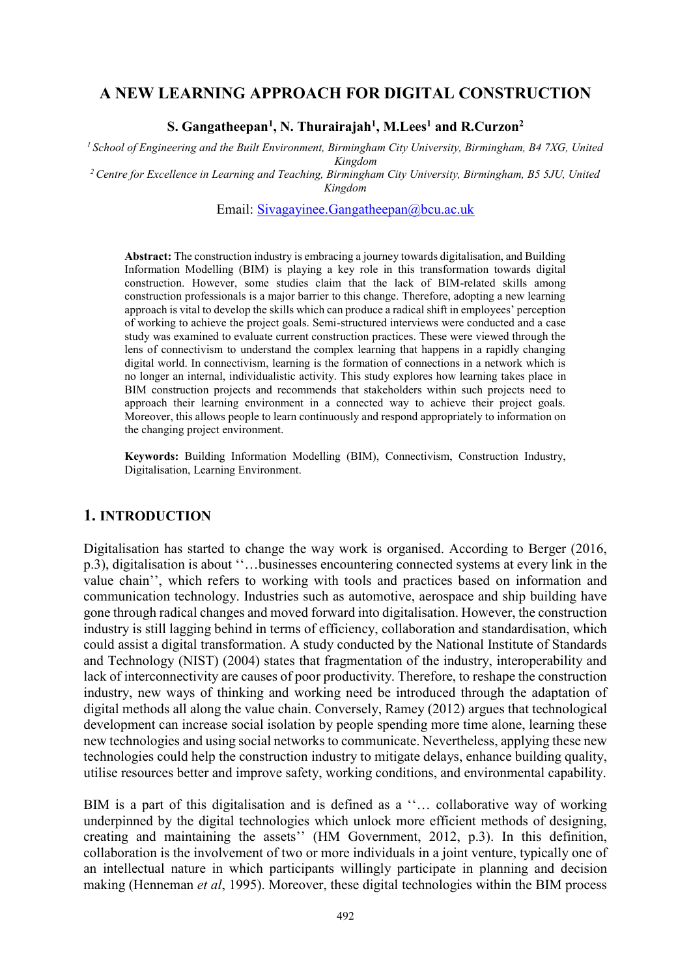# **A NEW LEARNING APPROACH FOR DIGITAL CONSTRUCTION**

**S. Gangatheepan<sup>1</sup> , N. Thurairajah<sup>1</sup> , M.Lees<sup>1</sup> and R.Curzon<sup>2</sup>**

*<sup>1</sup>School of Engineering and the Built Environment, Birmingham City University, Birmingham, B4 7XG, United Kingdom* 

*<sup>2</sup>Centre for Excellence in Learning and Teaching, Birmingham City University, Birmingham, B5 5JU, United Kingdom* 

Email: Sivagayinee.Gangatheepan@bcu.ac.uk

**Abstract:** The construction industry is embracing a journey towards digitalisation, and Building Information Modelling (BIM) is playing a key role in this transformation towards digital construction. However, some studies claim that the lack of BIM-related skills among construction professionals is a major barrier to this change. Therefore, adopting a new learning approach is vital to develop the skills which can produce a radical shift in employees' perception of working to achieve the project goals. Semi-structured interviews were conducted and a case study was examined to evaluate current construction practices. These were viewed through the lens of connectivism to understand the complex learning that happens in a rapidly changing digital world. In connectivism, learning is the formation of connections in a network which is no longer an internal, individualistic activity. This study explores how learning takes place in BIM construction projects and recommends that stakeholders within such projects need to approach their learning environment in a connected way to achieve their project goals. Moreover, this allows people to learn continuously and respond appropriately to information on the changing project environment.

**Keywords:** Building Information Modelling (BIM), Connectivism, Construction Industry, Digitalisation, Learning Environment.

# **1. INTRODUCTION**

Digitalisation has started to change the way work is organised. According to Berger (2016, p.3), digitalisation is about ''…businesses encountering connected systems at every link in the value chain'', which refers to working with tools and practices based on information and communication technology. Industries such as automotive, aerospace and ship building have gone through radical changes and moved forward into digitalisation. However, the construction industry is still lagging behind in terms of efficiency, collaboration and standardisation, which could assist a digital transformation. A study conducted by the National Institute of Standards and Technology (NIST) (2004) states that fragmentation of the industry, interoperability and lack of interconnectivity are causes of poor productivity. Therefore, to reshape the construction industry, new ways of thinking and working need be introduced through the adaptation of digital methods all along the value chain. Conversely, Ramey (2012) argues that technological development can increase social isolation by people spending more time alone, learning these new technologies and using social networks to communicate. Nevertheless, applying these new technologies could help the construction industry to mitigate delays, enhance building quality, utilise resources better and improve safety, working conditions, and environmental capability.

BIM is a part of this digitalisation and is defined as a ''… collaborative way of working underpinned by the digital technologies which unlock more efficient methods of designing, creating and maintaining the assets'' (HM Government, 2012, p.3). In this definition, collaboration is the involvement of two or more individuals in a joint venture, typically one of an intellectual nature in which participants willingly participate in planning and decision making (Henneman *et al*, 1995). Moreover, these digital technologies within the BIM process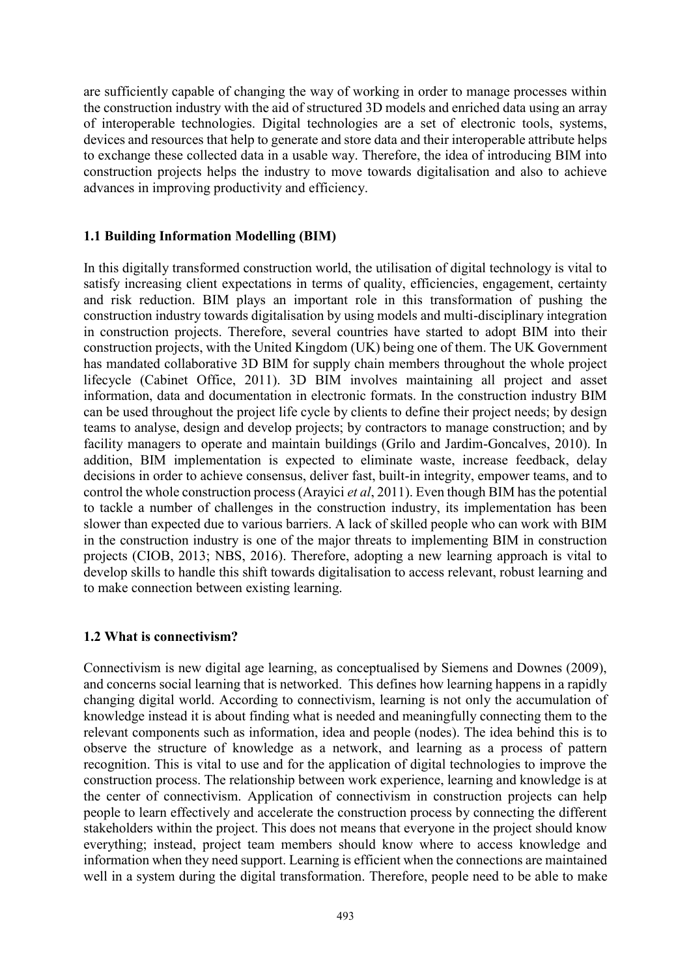are sufficiently capable of changing the way of working in order to manage processes within the construction industry with the aid of structured 3D models and enriched data using an array of interoperable technologies. Digital technologies are a set of electronic tools, systems, devices and resources that help to generate and store data and their interoperable attribute helps to exchange these collected data in a usable way. Therefore, the idea of introducing BIM into construction projects helps the industry to move towards digitalisation and also to achieve advances in improving productivity and efficiency.

# **1.1 Building Information Modelling (BIM)**

In this digitally transformed construction world, the utilisation of digital technology is vital to satisfy increasing client expectations in terms of quality, efficiencies, engagement, certainty and risk reduction. BIM plays an important role in this transformation of pushing the construction industry towards digitalisation by using models and multi-disciplinary integration in construction projects. Therefore, several countries have started to adopt BIM into their construction projects, with the United Kingdom (UK) being one of them. The UK Government has mandated collaborative 3D BIM for supply chain members throughout the whole project lifecycle (Cabinet Office, 2011). 3D BIM involves maintaining all project and asset information, data and documentation in electronic formats. In the construction industry BIM can be used throughout the project life cycle by clients to define their project needs; by design teams to analyse, design and develop projects; by contractors to manage construction; and by facility managers to operate and maintain buildings (Grilo and Jardim-Goncalves, 2010). In addition, BIM implementation is expected to eliminate waste, increase feedback, delay decisions in order to achieve consensus, deliver fast, built-in integrity, empower teams, and to control the whole construction process (Arayici *et al*, 2011). Even though BIM has the potential to tackle a number of challenges in the construction industry, its implementation has been slower than expected due to various barriers. A lack of skilled people who can work with BIM in the construction industry is one of the major threats to implementing BIM in construction projects (CIOB, 2013; NBS, 2016). Therefore, adopting a new learning approach is vital to develop skills to handle this shift towards digitalisation to access relevant, robust learning and to make connection between existing learning.

# **1.2 What is connectivism?**

Connectivism is new digital age learning, as conceptualised by Siemens and Downes (2009), and concerns social learning that is networked. This defines how learning happens in a rapidly changing digital world. According to connectivism, learning is not only the accumulation of knowledge instead it is about finding what is needed and meaningfully connecting them to the relevant components such as information, idea and people (nodes). The idea behind this is to observe the structure of knowledge as a network, and learning as a process of pattern recognition. This is vital to use and for the application of digital technologies to improve the construction process. The relationship between work experience, learning and knowledge is at the center of connectivism. Application of connectivism in construction projects can help people to learn effectively and accelerate the construction process by connecting the different stakeholders within the project. This does not means that everyone in the project should know everything; instead, project team members should know where to access knowledge and information when they need support. Learning is efficient when the connections are maintained well in a system during the digital transformation. Therefore, people need to be able to make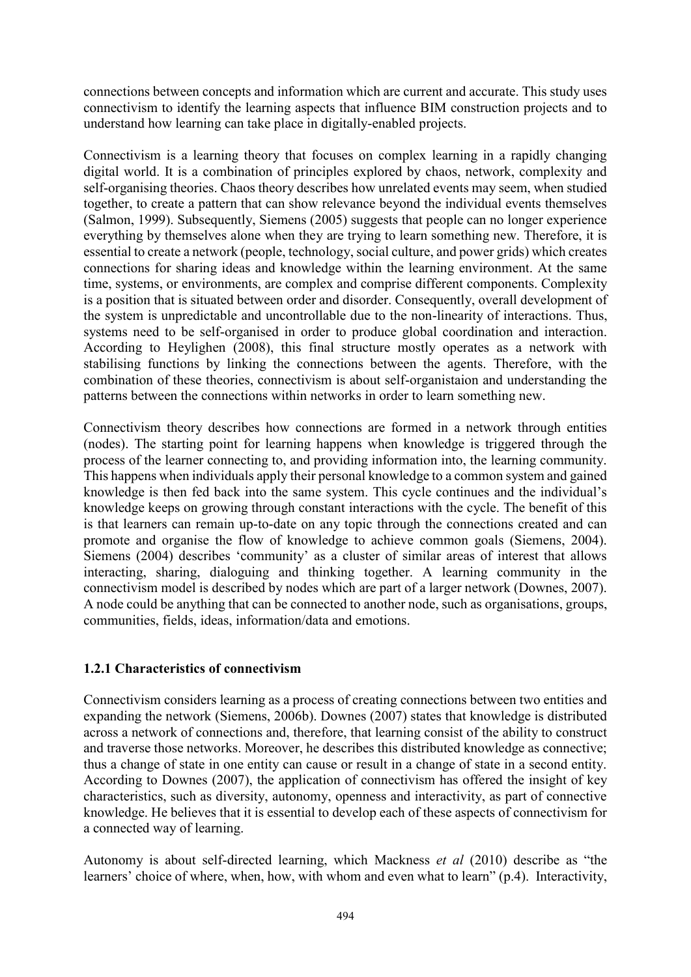connections between concepts and information which are current and accurate. This study uses connectivism to identify the learning aspects that influence BIM construction projects and to understand how learning can take place in digitally-enabled projects.

Connectivism is a learning theory that focuses on complex learning in a rapidly changing digital world. It is a combination of principles explored by chaos, network, complexity and self-organising theories. Chaos theory describes how unrelated events may seem, when studied together, to create a pattern that can show relevance beyond the individual events themselves (Salmon, 1999). Subsequently, Siemens (2005) suggests that people can no longer experience everything by themselves alone when they are trying to learn something new. Therefore, it is essential to create a network (people, technology, social culture, and power grids) which creates connections for sharing ideas and knowledge within the learning environment. At the same time, systems, or environments, are complex and comprise different components. Complexity is a position that is situated between order and disorder. Consequently, overall development of the system is unpredictable and uncontrollable due to the non-linearity of interactions. Thus, systems need to be self-organised in order to produce global coordination and interaction. According to Heylighen (2008), this final structure mostly operates as a network with stabilising functions by linking the connections between the agents. Therefore, with the combination of these theories, connectivism is about self-organistaion and understanding the patterns between the connections within networks in order to learn something new.

Connectivism theory describes how connections are formed in a network through entities (nodes). The starting point for learning happens when knowledge is triggered through the process of the learner connecting to, and providing information into, the learning community. This happens when individuals apply their personal knowledge to a common system and gained knowledge is then fed back into the same system. This cycle continues and the individual's knowledge keeps on growing through constant interactions with the cycle. The benefit of this is that learners can remain up-to-date on any topic through the connections created and can promote and organise the flow of knowledge to achieve common goals (Siemens, 2004). Siemens (2004) describes 'community' as a cluster of similar areas of interest that allows interacting, sharing, dialoguing and thinking together. A learning community in the connectivism model is described by nodes which are part of a larger network (Downes, 2007). A node could be anything that can be connected to another node, such as organisations, groups, communities, fields, ideas, information/data and emotions.

# **1.2.1 Characteristics of connectivism**

Connectivism considers learning as a process of creating connections between two entities and expanding the network (Siemens, 2006b). Downes (2007) states that knowledge is distributed across a network of connections and, therefore, that learning consist of the ability to construct and traverse those networks. Moreover, he describes this distributed knowledge as connective; thus a change of state in one entity can cause or result in a change of state in a second entity. According to Downes (2007), the application of connectivism has offered the insight of key characteristics, such as diversity, autonomy, openness and interactivity, as part of connective knowledge. He believes that it is essential to develop each of these aspects of connectivism for a connected way of learning.

Autonomy is about self-directed learning, which Mackness *et al* (2010) describe as "the learners' choice of where, when, how, with whom and even what to learn" (p.4). Interactivity,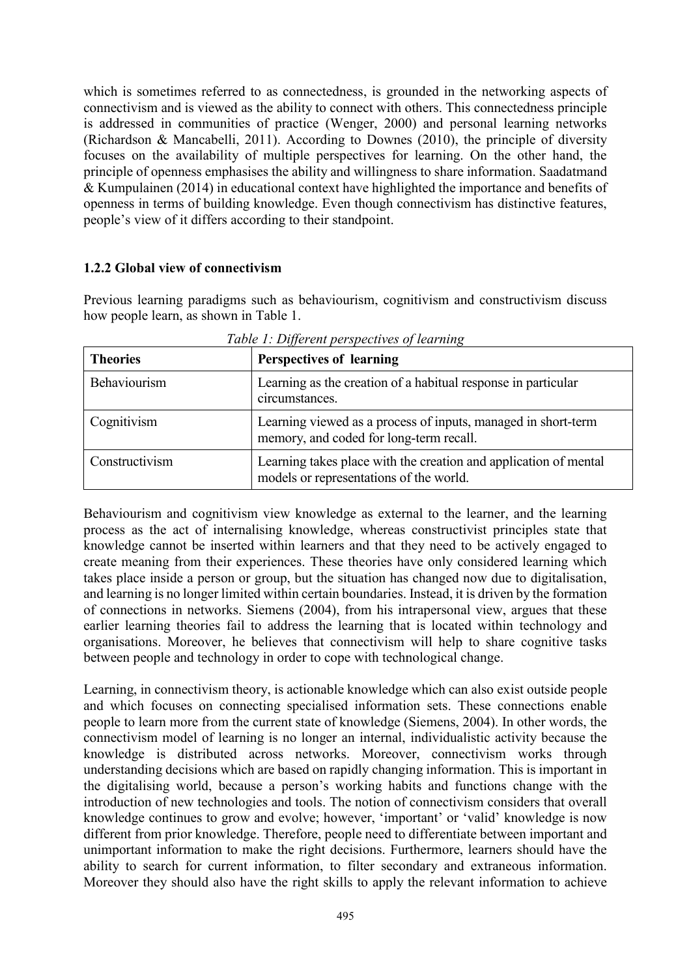which is sometimes referred to as connectedness, is grounded in the networking aspects of connectivism and is viewed as the ability to connect with others. This connectedness principle is addressed in communities of practice (Wenger, 2000) and personal learning networks (Richardson & Mancabelli, 2011). According to Downes (2010), the principle of diversity focuses on the availability of multiple perspectives for learning. On the other hand, the principle of openness emphasises the ability and willingness to share information. Saadatmand & Kumpulainen (2014) in educational context have highlighted the importance and benefits of openness in terms of building knowledge. Even though connectivism has distinctive features, people's view of it differs according to their standpoint.

#### **1.2.2 Global view of connectivism**

Previous learning paradigms such as behaviourism, cognitivism and constructivism discuss how people learn, as shown in Table 1.

| <b>Theories</b> | <b>Perspectives of learning</b>                                                                             |
|-----------------|-------------------------------------------------------------------------------------------------------------|
| Behaviourism    | Learning as the creation of a habitual response in particular<br>circumstances.                             |
| Cognitivism     | Learning viewed as a process of inputs, managed in short-term<br>memory, and coded for long-term recall.    |
| Constructivism  | Learning takes place with the creation and application of mental<br>models or representations of the world. |

*Table 1: Different perspectives of learning* 

Behaviourism and cognitivism view knowledge as external to the learner, and the learning process as the act of internalising knowledge, whereas constructivist principles state that knowledge cannot be inserted within learners and that they need to be actively engaged to create meaning from their experiences. These theories have only considered learning which takes place inside a person or group, but the situation has changed now due to digitalisation, and learning is no longer limited within certain boundaries. Instead, it is driven by the formation of connections in networks. Siemens (2004), from his intrapersonal view, argues that these earlier learning theories fail to address the learning that is located within technology and organisations. Moreover, he believes that connectivism will help to share cognitive tasks between people and technology in order to cope with technological change.

Learning, in connectivism theory, is actionable knowledge which can also exist outside people and which focuses on connecting specialised information sets. These connections enable people to learn more from the current state of knowledge (Siemens, 2004). In other words, the connectivism model of learning is no longer an internal, individualistic activity because the knowledge is distributed across networks. Moreover, connectivism works through understanding decisions which are based on rapidly changing information. This is important in the digitalising world, because a person's working habits and functions change with the introduction of new technologies and tools. The notion of connectivism considers that overall knowledge continues to grow and evolve; however, 'important' or 'valid' knowledge is now different from prior knowledge. Therefore, people need to differentiate between important and unimportant information to make the right decisions. Furthermore, learners should have the ability to search for current information, to filter secondary and extraneous information. Moreover they should also have the right skills to apply the relevant information to achieve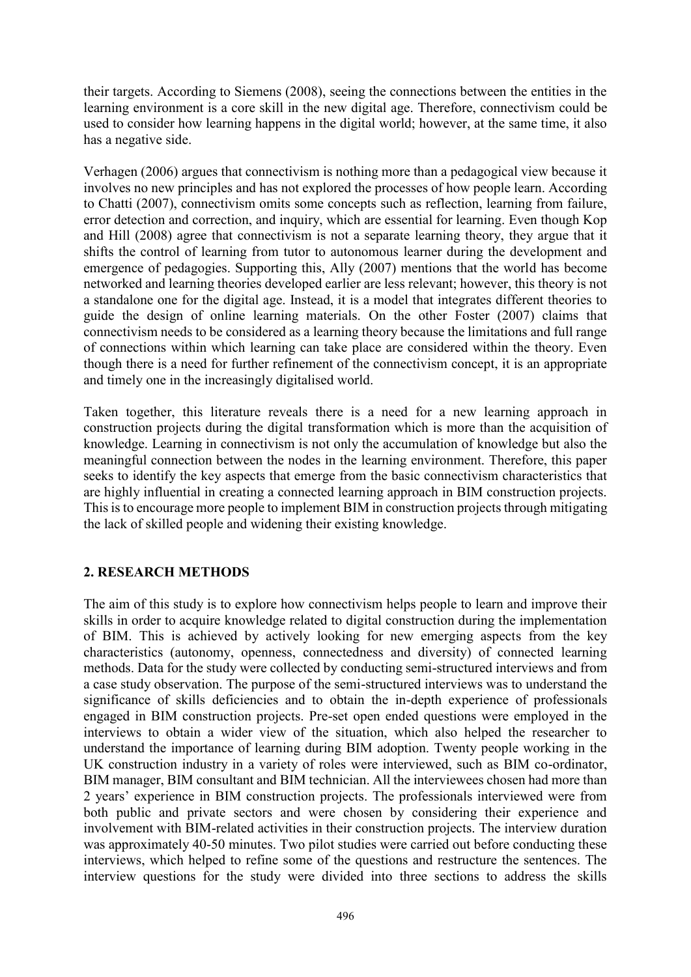their targets. According to Siemens (2008), seeing the connections between the entities in the learning environment is a core skill in the new digital age. Therefore, connectivism could be used to consider how learning happens in the digital world; however, at the same time, it also has a negative side.

Verhagen (2006) argues that connectivism is nothing more than a pedagogical view because it involves no new principles and has not explored the processes of how people learn. According to Chatti (2007), connectivism omits some concepts such as reflection, learning from failure, error detection and correction, and inquiry, which are essential for learning. Even though Kop and Hill (2008) agree that connectivism is not a separate learning theory, they argue that it shifts the control of learning from tutor to autonomous learner during the development and emergence of pedagogies. Supporting this, Ally (2007) mentions that the world has become networked and learning theories developed earlier are less relevant; however, this theory is not a standalone one for the digital age. Instead, it is a model that integrates different theories to guide the design of online learning materials. On the other Foster (2007) claims that connectivism needs to be considered as a learning theory because the limitations and full range of connections within which learning can take place are considered within the theory. Even though there is a need for further refinement of the connectivism concept, it is an appropriate and timely one in the increasingly digitalised world.

Taken together, this literature reveals there is a need for a new learning approach in construction projects during the digital transformation which is more than the acquisition of knowledge. Learning in connectivism is not only the accumulation of knowledge but also the meaningful connection between the nodes in the learning environment. Therefore, this paper seeks to identify the key aspects that emerge from the basic connectivism characteristics that are highly influential in creating a connected learning approach in BIM construction projects. This is to encourage more people to implement BIM in construction projects through mitigating the lack of skilled people and widening their existing knowledge.

# **2. RESEARCH METHODS**

The aim of this study is to explore how connectivism helps people to learn and improve their skills in order to acquire knowledge related to digital construction during the implementation of BIM. This is achieved by actively looking for new emerging aspects from the key characteristics (autonomy, openness, connectedness and diversity) of connected learning methods. Data for the study were collected by conducting semi-structured interviews and from a case study observation. The purpose of the semi-structured interviews was to understand the significance of skills deficiencies and to obtain the in-depth experience of professionals engaged in BIM construction projects. Pre-set open ended questions were employed in the interviews to obtain a wider view of the situation, which also helped the researcher to understand the importance of learning during BIM adoption. Twenty people working in the UK construction industry in a variety of roles were interviewed, such as BIM co-ordinator, BIM manager, BIM consultant and BIM technician. All the interviewees chosen had more than 2 years' experience in BIM construction projects. The professionals interviewed were from both public and private sectors and were chosen by considering their experience and involvement with BIM-related activities in their construction projects. The interview duration was approximately 40-50 minutes. Two pilot studies were carried out before conducting these interviews, which helped to refine some of the questions and restructure the sentences. The interview questions for the study were divided into three sections to address the skills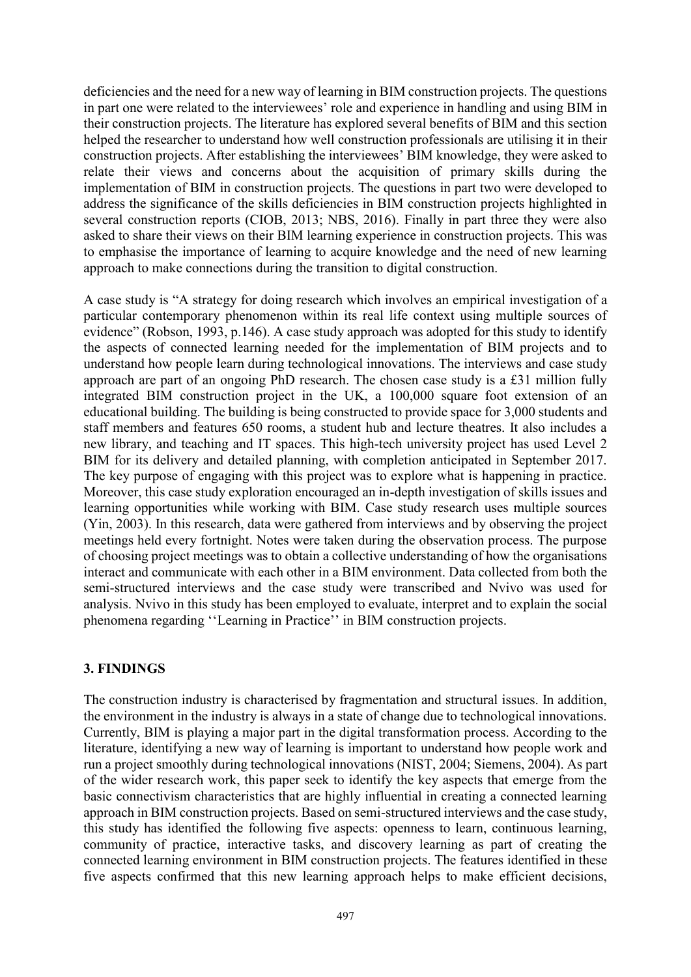deficiencies and the need for a new way of learning in BIM construction projects. The questions in part one were related to the interviewees' role and experience in handling and using BIM in their construction projects. The literature has explored several benefits of BIM and this section helped the researcher to understand how well construction professionals are utilising it in their construction projects. After establishing the interviewees' BIM knowledge, they were asked to relate their views and concerns about the acquisition of primary skills during the implementation of BIM in construction projects. The questions in part two were developed to address the significance of the skills deficiencies in BIM construction projects highlighted in several construction reports (CIOB, 2013; NBS, 2016). Finally in part three they were also asked to share their views on their BIM learning experience in construction projects. This was to emphasise the importance of learning to acquire knowledge and the need of new learning approach to make connections during the transition to digital construction.

A case study is "A strategy for doing research which involves an empirical investigation of a particular contemporary phenomenon within its real life context using multiple sources of evidence" (Robson, 1993, p.146). A case study approach was adopted for this study to identify the aspects of connected learning needed for the implementation of BIM projects and to understand how people learn during technological innovations. The interviews and case study approach are part of an ongoing PhD research. The chosen case study is a £31 million fully integrated BIM construction project in the UK, a 100,000 square foot extension of an educational building. The building is being constructed to provide space for 3,000 students and staff members and features 650 rooms, a student hub and lecture theatres. It also includes a new library, and teaching and IT spaces. This high-tech university project has used Level 2 BIM for its delivery and detailed planning, with completion anticipated in September 2017. The key purpose of engaging with this project was to explore what is happening in practice. Moreover, this case study exploration encouraged an in-depth investigation of skills issues and learning opportunities while working with BIM. Case study research uses multiple sources (Yin, 2003). In this research, data were gathered from interviews and by observing the project meetings held every fortnight. Notes were taken during the observation process. The purpose of choosing project meetings was to obtain a collective understanding of how the organisations interact and communicate with each other in a BIM environment. Data collected from both the semi-structured interviews and the case study were transcribed and Nvivo was used for analysis. Nvivo in this study has been employed to evaluate, interpret and to explain the social phenomena regarding ''Learning in Practice'' in BIM construction projects.

# **3. FINDINGS**

The construction industry is characterised by fragmentation and structural issues. In addition, the environment in the industry is always in a state of change due to technological innovations. Currently, BIM is playing a major part in the digital transformation process. According to the literature, identifying a new way of learning is important to understand how people work and run a project smoothly during technological innovations (NIST, 2004; Siemens, 2004). As part of the wider research work, this paper seek to identify the key aspects that emerge from the basic connectivism characteristics that are highly influential in creating a connected learning approach in BIM construction projects. Based on semi-structured interviews and the case study, this study has identified the following five aspects: openness to learn, continuous learning, community of practice, interactive tasks, and discovery learning as part of creating the connected learning environment in BIM construction projects. The features identified in these five aspects confirmed that this new learning approach helps to make efficient decisions,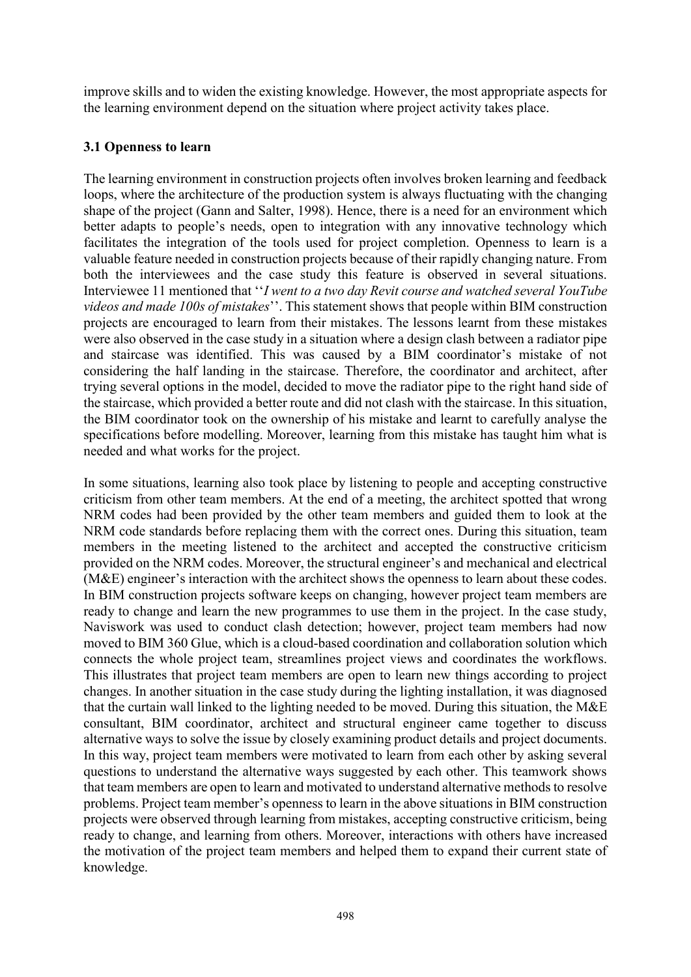improve skills and to widen the existing knowledge. However, the most appropriate aspects for the learning environment depend on the situation where project activity takes place.

# **3.1 Openness to learn**

The learning environment in construction projects often involves broken learning and feedback loops, where the architecture of the production system is always fluctuating with the changing shape of the project (Gann and Salter, 1998). Hence, there is a need for an environment which better adapts to people's needs, open to integration with any innovative technology which facilitates the integration of the tools used for project completion. Openness to learn is a valuable feature needed in construction projects because of their rapidly changing nature. From both the interviewees and the case study this feature is observed in several situations. Interviewee 11 mentioned that ''*I went to a two day Revit course and watched several YouTube videos and made 100s of mistakes*''. This statement shows that people within BIM construction projects are encouraged to learn from their mistakes. The lessons learnt from these mistakes were also observed in the case study in a situation where a design clash between a radiator pipe and staircase was identified. This was caused by a BIM coordinator's mistake of not considering the half landing in the staircase. Therefore, the coordinator and architect, after trying several options in the model, decided to move the radiator pipe to the right hand side of the staircase, which provided a better route and did not clash with the staircase. In this situation, the BIM coordinator took on the ownership of his mistake and learnt to carefully analyse the specifications before modelling. Moreover, learning from this mistake has taught him what is needed and what works for the project.

In some situations, learning also took place by listening to people and accepting constructive criticism from other team members. At the end of a meeting, the architect spotted that wrong NRM codes had been provided by the other team members and guided them to look at the NRM code standards before replacing them with the correct ones. During this situation, team members in the meeting listened to the architect and accepted the constructive criticism provided on the NRM codes. Moreover, the structural engineer's and mechanical and electrical (M&E) engineer's interaction with the architect shows the openness to learn about these codes. In BIM construction projects software keeps on changing, however project team members are ready to change and learn the new programmes to use them in the project. In the case study, Naviswork was used to conduct clash detection; however, project team members had now moved to BIM 360 Glue, which is a cloud-based coordination and collaboration solution which connects the whole project team, streamlines project views and coordinates the workflows. This illustrates that project team members are open to learn new things according to project changes. In another situation in the case study during the lighting installation, it was diagnosed that the curtain wall linked to the lighting needed to be moved. During this situation, the M&E consultant, BIM coordinator, architect and structural engineer came together to discuss alternative ways to solve the issue by closely examining product details and project documents. In this way, project team members were motivated to learn from each other by asking several questions to understand the alternative ways suggested by each other. This teamwork shows that team members are open to learn and motivated to understand alternative methods to resolve problems. Project team member's openness to learn in the above situations in BIM construction projects were observed through learning from mistakes, accepting constructive criticism, being ready to change, and learning from others. Moreover, interactions with others have increased the motivation of the project team members and helped them to expand their current state of knowledge.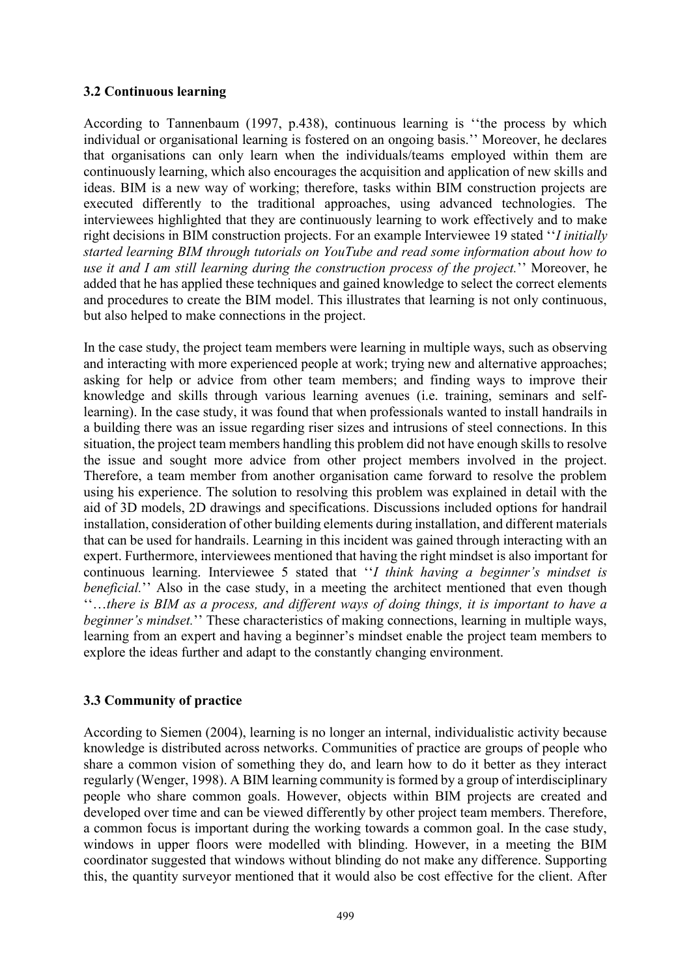### **3.2 Continuous learning**

According to Tannenbaum (1997, p.438), continuous learning is ''the process by which individual or organisational learning is fostered on an ongoing basis.'' Moreover, he declares that organisations can only learn when the individuals/teams employed within them are continuously learning, which also encourages the acquisition and application of new skills and ideas. BIM is a new way of working; therefore, tasks within BIM construction projects are executed differently to the traditional approaches, using advanced technologies. The interviewees highlighted that they are continuously learning to work effectively and to make right decisions in BIM construction projects. For an example Interviewee 19 stated ''*I initially started learning BIM through tutorials on YouTube and read some information about how to use it and I am still learning during the construction process of the project.*'' Moreover, he added that he has applied these techniques and gained knowledge to select the correct elements and procedures to create the BIM model. This illustrates that learning is not only continuous, but also helped to make connections in the project.

In the case study, the project team members were learning in multiple ways, such as observing and interacting with more experienced people at work; trying new and alternative approaches; asking for help or advice from other team members; and finding ways to improve their knowledge and skills through various learning avenues (i.e. training, seminars and selflearning). In the case study, it was found that when professionals wanted to install handrails in a building there was an issue regarding riser sizes and intrusions of steel connections. In this situation, the project team members handling this problem did not have enough skills to resolve the issue and sought more advice from other project members involved in the project. Therefore, a team member from another organisation came forward to resolve the problem using his experience. The solution to resolving this problem was explained in detail with the aid of 3D models, 2D drawings and specifications. Discussions included options for handrail installation, consideration of other building elements during installation, and different materials that can be used for handrails. Learning in this incident was gained through interacting with an expert. Furthermore, interviewees mentioned that having the right mindset is also important for continuous learning. Interviewee 5 stated that ''*I think having a beginner's mindset is beneficial.*'' Also in the case study, in a meeting the architect mentioned that even though ''…*there is BIM as a process, and different ways of doing things, it is important to have a beginner's mindset.*'' These characteristics of making connections, learning in multiple ways, learning from an expert and having a beginner's mindset enable the project team members to explore the ideas further and adapt to the constantly changing environment.

# **3.3 Community of practice**

According to Siemen (2004), learning is no longer an internal, individualistic activity because knowledge is distributed across networks. Communities of practice are groups of people who share a common vision of something they do, and learn how to do it better as they interact regularly (Wenger, 1998). A BIM learning community is formed by a group of interdisciplinary people who share common goals. However, objects within BIM projects are created and developed over time and can be viewed differently by other project team members. Therefore, a common focus is important during the working towards a common goal. In the case study, windows in upper floors were modelled with blinding. However, in a meeting the BIM coordinator suggested that windows without blinding do not make any difference. Supporting this, the quantity surveyor mentioned that it would also be cost effective for the client. After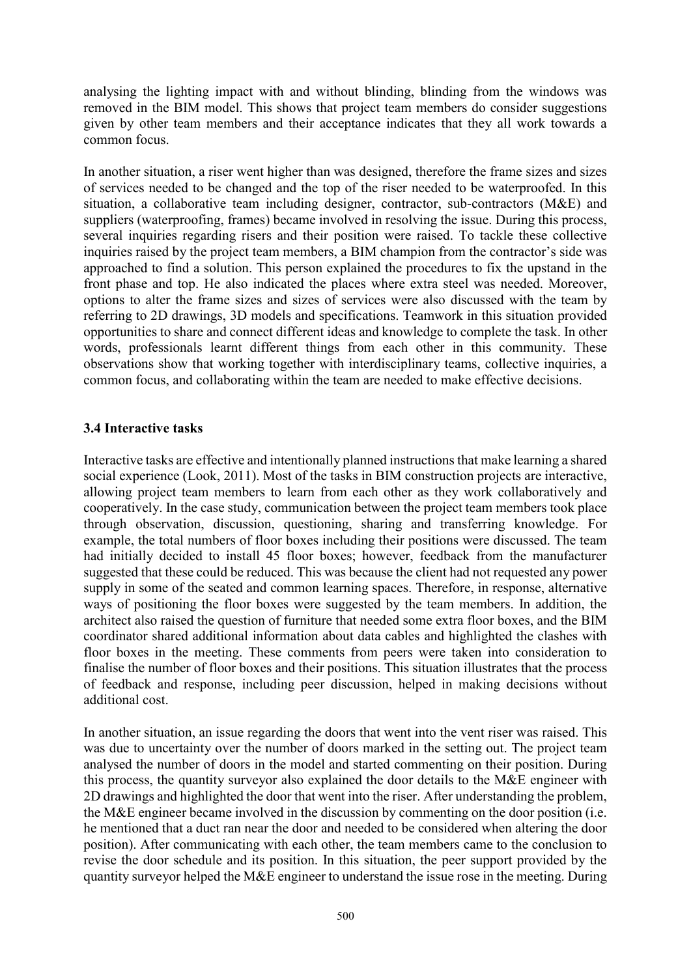analysing the lighting impact with and without blinding, blinding from the windows was removed in the BIM model. This shows that project team members do consider suggestions given by other team members and their acceptance indicates that they all work towards a common focus.

In another situation, a riser went higher than was designed, therefore the frame sizes and sizes of services needed to be changed and the top of the riser needed to be waterproofed. In this situation, a collaborative team including designer, contractor, sub-contractors (M&E) and suppliers (waterproofing, frames) became involved in resolving the issue. During this process, several inquiries regarding risers and their position were raised. To tackle these collective inquiries raised by the project team members, a BIM champion from the contractor's side was approached to find a solution. This person explained the procedures to fix the upstand in the front phase and top. He also indicated the places where extra steel was needed. Moreover, options to alter the frame sizes and sizes of services were also discussed with the team by referring to 2D drawings, 3D models and specifications. Teamwork in this situation provided opportunities to share and connect different ideas and knowledge to complete the task. In other words, professionals learnt different things from each other in this community. These observations show that working together with interdisciplinary teams, collective inquiries, a common focus, and collaborating within the team are needed to make effective decisions.

# **3.4 Interactive tasks**

Interactive tasks are effective and intentionally planned instructions that make learning a shared social experience (Look, 2011). Most of the tasks in BIM construction projects are interactive, allowing project team members to learn from each other as they work collaboratively and cooperatively. In the case study, communication between the project team members took place through observation, discussion, questioning, sharing and transferring knowledge. For example, the total numbers of floor boxes including their positions were discussed. The team had initially decided to install 45 floor boxes; however, feedback from the manufacturer suggested that these could be reduced. This was because the client had not requested any power supply in some of the seated and common learning spaces. Therefore, in response, alternative ways of positioning the floor boxes were suggested by the team members. In addition, the architect also raised the question of furniture that needed some extra floor boxes, and the BIM coordinator shared additional information about data cables and highlighted the clashes with floor boxes in the meeting. These comments from peers were taken into consideration to finalise the number of floor boxes and their positions. This situation illustrates that the process of feedback and response, including peer discussion, helped in making decisions without additional cost.

In another situation, an issue regarding the doors that went into the vent riser was raised. This was due to uncertainty over the number of doors marked in the setting out. The project team analysed the number of doors in the model and started commenting on their position. During this process, the quantity surveyor also explained the door details to the M&E engineer with 2D drawings and highlighted the door that went into the riser. After understanding the problem, the M&E engineer became involved in the discussion by commenting on the door position (i.e. he mentioned that a duct ran near the door and needed to be considered when altering the door position). After communicating with each other, the team members came to the conclusion to revise the door schedule and its position. In this situation, the peer support provided by the quantity surveyor helped the M&E engineer to understand the issue rose in the meeting. During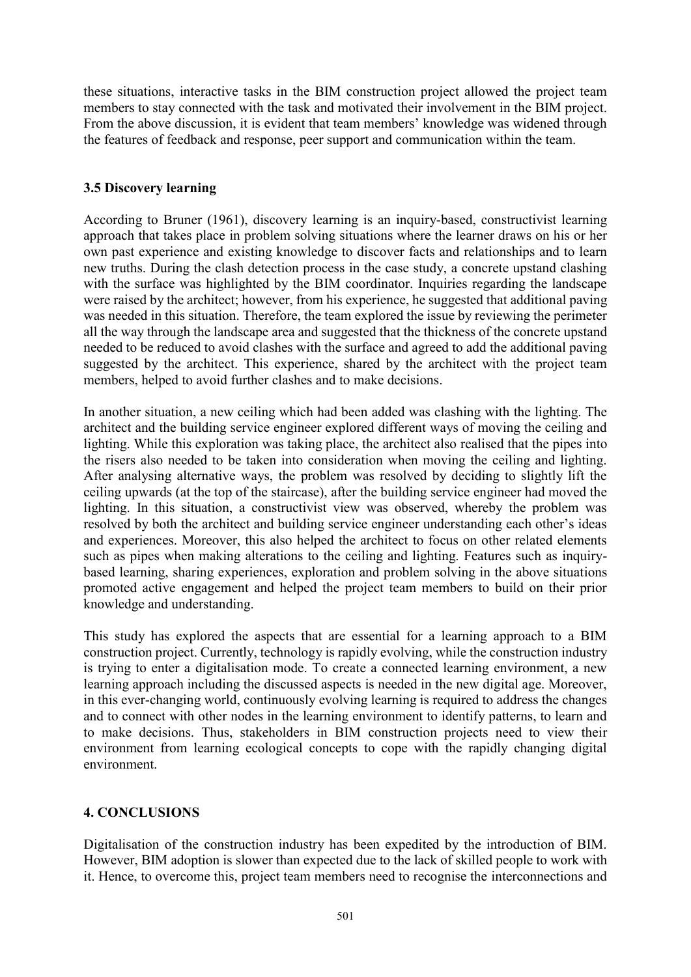these situations, interactive tasks in the BIM construction project allowed the project team members to stay connected with the task and motivated their involvement in the BIM project. From the above discussion, it is evident that team members' knowledge was widened through the features of feedback and response, peer support and communication within the team.

# **3.5 Discovery learning**

According to Bruner (1961), discovery learning is an inquiry-based, constructivist learning approach that takes place in problem solving situations where the learner draws on his or her own past experience and existing knowledge to discover facts and relationships and to learn new truths. During the clash detection process in the case study, a concrete upstand clashing with the surface was highlighted by the BIM coordinator. Inquiries regarding the landscape were raised by the architect; however, from his experience, he suggested that additional paving was needed in this situation. Therefore, the team explored the issue by reviewing the perimeter all the way through the landscape area and suggested that the thickness of the concrete upstand needed to be reduced to avoid clashes with the surface and agreed to add the additional paving suggested by the architect. This experience, shared by the architect with the project team members, helped to avoid further clashes and to make decisions.

In another situation, a new ceiling which had been added was clashing with the lighting. The architect and the building service engineer explored different ways of moving the ceiling and lighting. While this exploration was taking place, the architect also realised that the pipes into the risers also needed to be taken into consideration when moving the ceiling and lighting. After analysing alternative ways, the problem was resolved by deciding to slightly lift the ceiling upwards (at the top of the staircase), after the building service engineer had moved the lighting. In this situation, a constructivist view was observed, whereby the problem was resolved by both the architect and building service engineer understanding each other's ideas and experiences. Moreover, this also helped the architect to focus on other related elements such as pipes when making alterations to the ceiling and lighting. Features such as inquirybased learning, sharing experiences, exploration and problem solving in the above situations promoted active engagement and helped the project team members to build on their prior knowledge and understanding.

This study has explored the aspects that are essential for a learning approach to a BIM construction project. Currently, technology is rapidly evolving, while the construction industry is trying to enter a digitalisation mode. To create a connected learning environment, a new learning approach including the discussed aspects is needed in the new digital age. Moreover, in this ever-changing world, continuously evolving learning is required to address the changes and to connect with other nodes in the learning environment to identify patterns, to learn and to make decisions. Thus, stakeholders in BIM construction projects need to view their environment from learning ecological concepts to cope with the rapidly changing digital environment.

# **4. CONCLUSIONS**

Digitalisation of the construction industry has been expedited by the introduction of BIM. However, BIM adoption is slower than expected due to the lack of skilled people to work with it. Hence, to overcome this, project team members need to recognise the interconnections and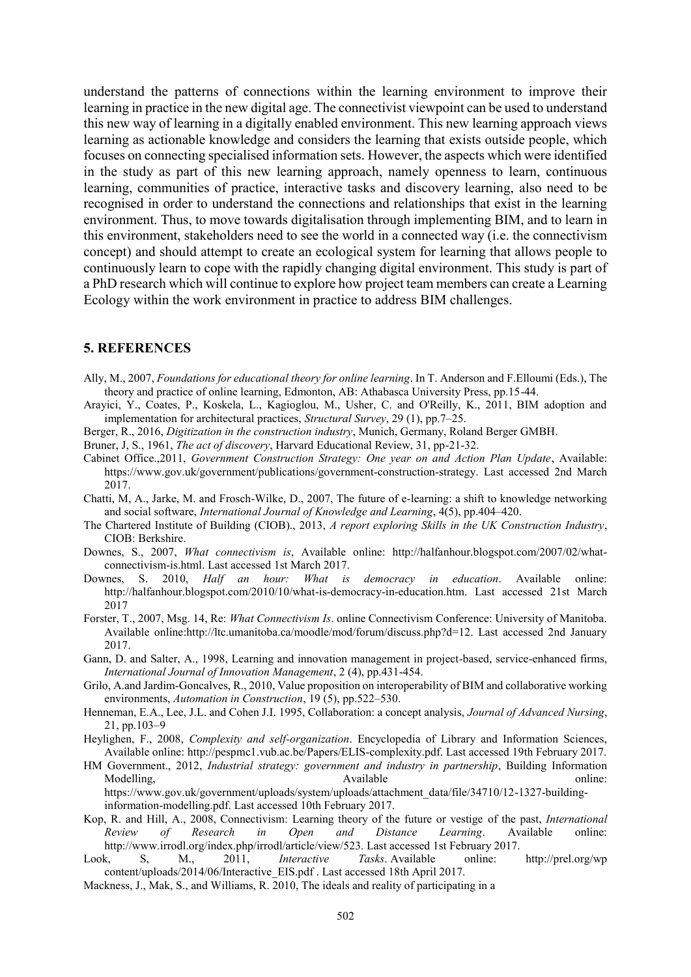understand the patterns of connections within the learning environment to improve their learning in practice in the new digital age. The connectivist viewpoint can be used to understand this new way of learning in a digitally enabled environment. This new learning approach views learning as actionable knowledge and considers the learning that exists outside people, which focuses on connecting specialised information sets. However, the aspects which were identified in the study as part of this new learning approach, namely openness to learn, continuous learning, communities of practice, interactive tasks and discovery learning, also need to be recognised in order to understand the connections and relationships that exist in the learning environment. Thus, to move towards digitalisation through implementing BIM, and to learn in this environment, stakeholders need to see the world in a connected way (i.e. the connectivism concept) and should attempt to create an ecological system for learning that allows people to continuously learn to cope with the rapidly changing digital environment. This study is part of a PhD research which will continue to explore how project team members can create a Learning Ecology within the work environment in practice to address BIM challenges.

#### **5. REFERENCES**

- Ally, M., 2007, *Foundations for educational theory for online learning*. In T. Anderson and F.Elloumi (Eds.), The theory and practice of online learning, Edmonton, AB: Athabasca University Press, pp.15-44.
- Arayici, Y., Coates, P., Koskela, L., Kagioglou, M., Usher, C. and O'Reilly, K., 2011, BIM adoption and implementation for architectural practices, *Structural Survey*, 29 (1), pp.7–25.
- Berger, R., 2016, *Digitization in the construction industry*, Munich, Germany, Roland Berger GMBH.
- Bruner, J, S., 1961, *The act of discovery*, Harvard Educational Review, 31, pp-21-32.
- Cabinet Office.,2011, *Government Construction Strategy: One year on and Action Plan Update*, Available: https://www.gov.uk/government/publications/government-construction-strategy. Last accessed 2nd March 2017.
- Chatti, M, A., Jarke, M. and Frosch-Wilke, D., 2007, The future of e-learning: a shift to knowledge networking and social software, *International Journal of Knowledge and Learning*, 4(5), pp.404–420.
- The Chartered Institute of Building (CIOB)., 2013, *A report exploring Skills in the UK Construction Industry*, CIOB: Berkshire.
- Downes, S., 2007, *What connectivism is*, Available online: http://halfanhour.blogspot.com/2007/02/whatconnectivism-is.html. Last accessed 1st March 2017.
- Downes, S. 2010, *Half an hour: What is democracy in education*. Available online: http://halfanhour.blogspot.com/2010/10/what-is-democracy-in-education.htm. Last accessed 21st March 2017
- Forster, T., 2007, Msg. 14, Re: *What Connectivism Is*. online Connectivism Conference: University of Manitoba. Available online:http://ltc.umanitoba.ca/moodle/mod/forum/discuss.php?d=12. Last accessed 2nd January 2017.
- Gann, D. and Salter, A., 1998, Learning and innovation management in project-based, service-enhanced firms, *International Journal of Innovation Management*, 2 (4), pp.431-454.
- Grilo, A.and Jardim-Goncalves, R., 2010, Value proposition on interoperability of BIM and collaborative working environments, *Automation in Construction*, 19 (5), pp.522–530.
- Henneman, E.A., Lee, J.L. and Cohen J.I. 1995, Collaboration: a concept analysis, *Journal of Advanced Nursing*, 21, pp.103–9
- Heylighen, F., 2008, *Complexity and self-organization*. Encyclopedia of Library and Information Sciences, Available online: http://pespmc1.vub.ac.be/Papers/ELIS-complexity.pdf. Last accessed 19th February 2017.
- HM Government., 2012, *Industrial strategy: government and industry in partnership*, Building Information Modelling, the contract of the contract of Available the contract of the contract online: https://www.gov.uk/government/uploads/system/uploads/attachment\_data/file/34710/12-1327-buildinginformation-modelling.pdf. Last accessed 10th February 2017.
- Kop, R. and Hill, A., 2008, Connectivism: Learning theory of the future or vestige of the past, *International Review of Research in Open and Distance Learning*. Available online: http://www.irrodl.org/index.php/irrodl/article/view/523. Last accessed 1st February 2017.
- Look, S, M., 2011, *Interactive Tasks*. Available online: http://prel.org/wp content/uploads/2014/06/Interactive\_EIS.pdf . Last accessed 18th April 2017.
- Mackness, J., Mak, S., and Williams, R. 2010, The ideals and reality of participating in a